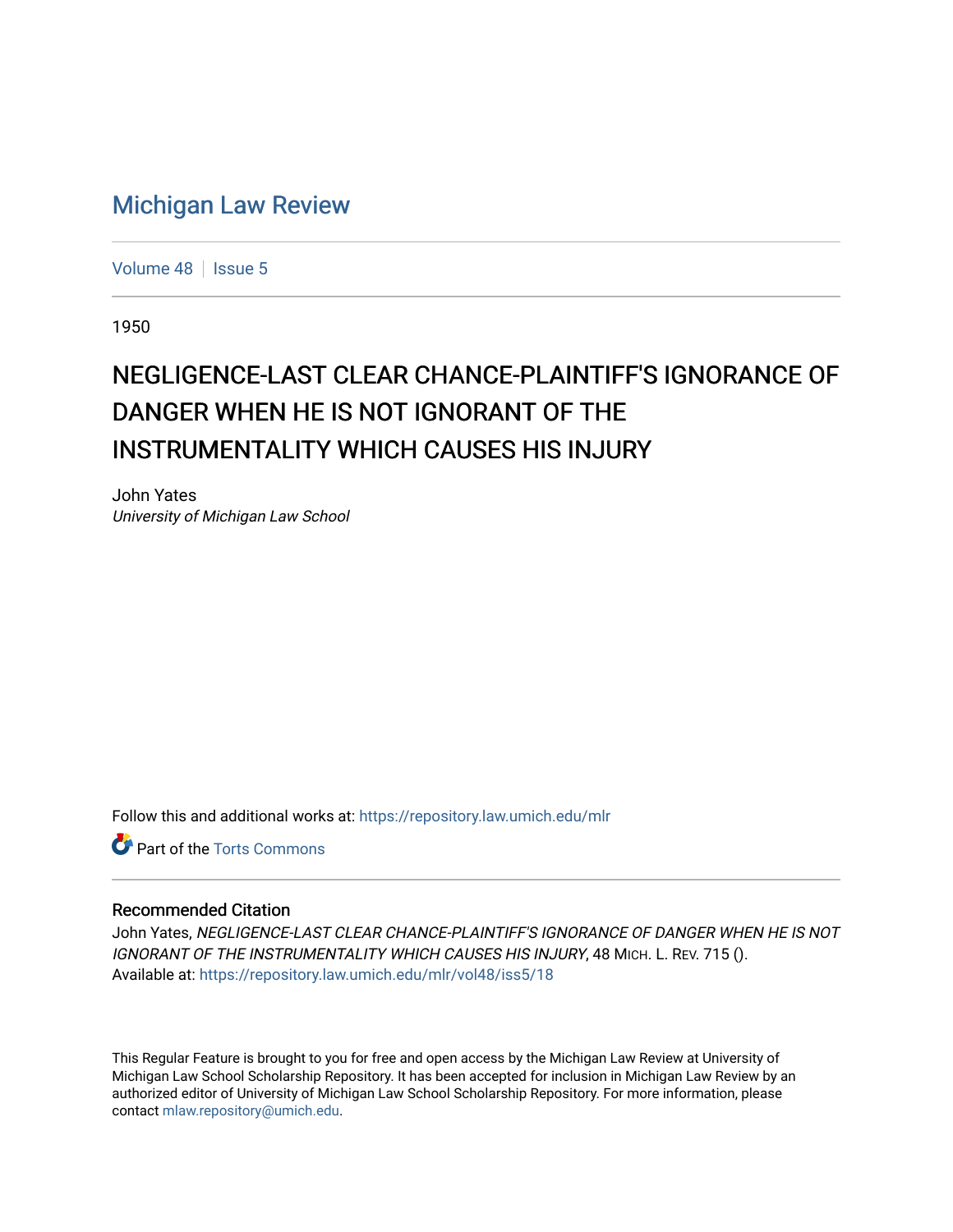## [Michigan Law Review](https://repository.law.umich.edu/mlr)

[Volume 48](https://repository.law.umich.edu/mlr/vol48) | [Issue 5](https://repository.law.umich.edu/mlr/vol48/iss5)

1950

## NEGLIGENCE-LAST CLEAR CHANCE-PLAINTIFF'S IGNORANCE OF DANGER WHEN HE IS NOT IGNORANT OF THE INSTRUMENTALITY WHICH CAUSES HIS INJURY

John Yates University of Michigan Law School

Follow this and additional works at: [https://repository.law.umich.edu/mlr](https://repository.law.umich.edu/mlr?utm_source=repository.law.umich.edu%2Fmlr%2Fvol48%2Fiss5%2F18&utm_medium=PDF&utm_campaign=PDFCoverPages) 

**C** Part of the [Torts Commons](http://network.bepress.com/hgg/discipline/913?utm_source=repository.law.umich.edu%2Fmlr%2Fvol48%2Fiss5%2F18&utm_medium=PDF&utm_campaign=PDFCoverPages)

## Recommended Citation

John Yates, NEGLIGENCE-LAST CLEAR CHANCE-PLAINTIFF'S IGNORANCE OF DANGER WHEN HE IS NOT IGNORANT OF THE INSTRUMENTALITY WHICH CAUSES HIS INJURY, 48 MICH. L. REV. 715 (). Available at: [https://repository.law.umich.edu/mlr/vol48/iss5/18](https://repository.law.umich.edu/mlr/vol48/iss5/18?utm_source=repository.law.umich.edu%2Fmlr%2Fvol48%2Fiss5%2F18&utm_medium=PDF&utm_campaign=PDFCoverPages) 

This Regular Feature is brought to you for free and open access by the Michigan Law Review at University of Michigan Law School Scholarship Repository. It has been accepted for inclusion in Michigan Law Review by an authorized editor of University of Michigan Law School Scholarship Repository. For more information, please contact [mlaw.repository@umich.edu](mailto:mlaw.repository@umich.edu).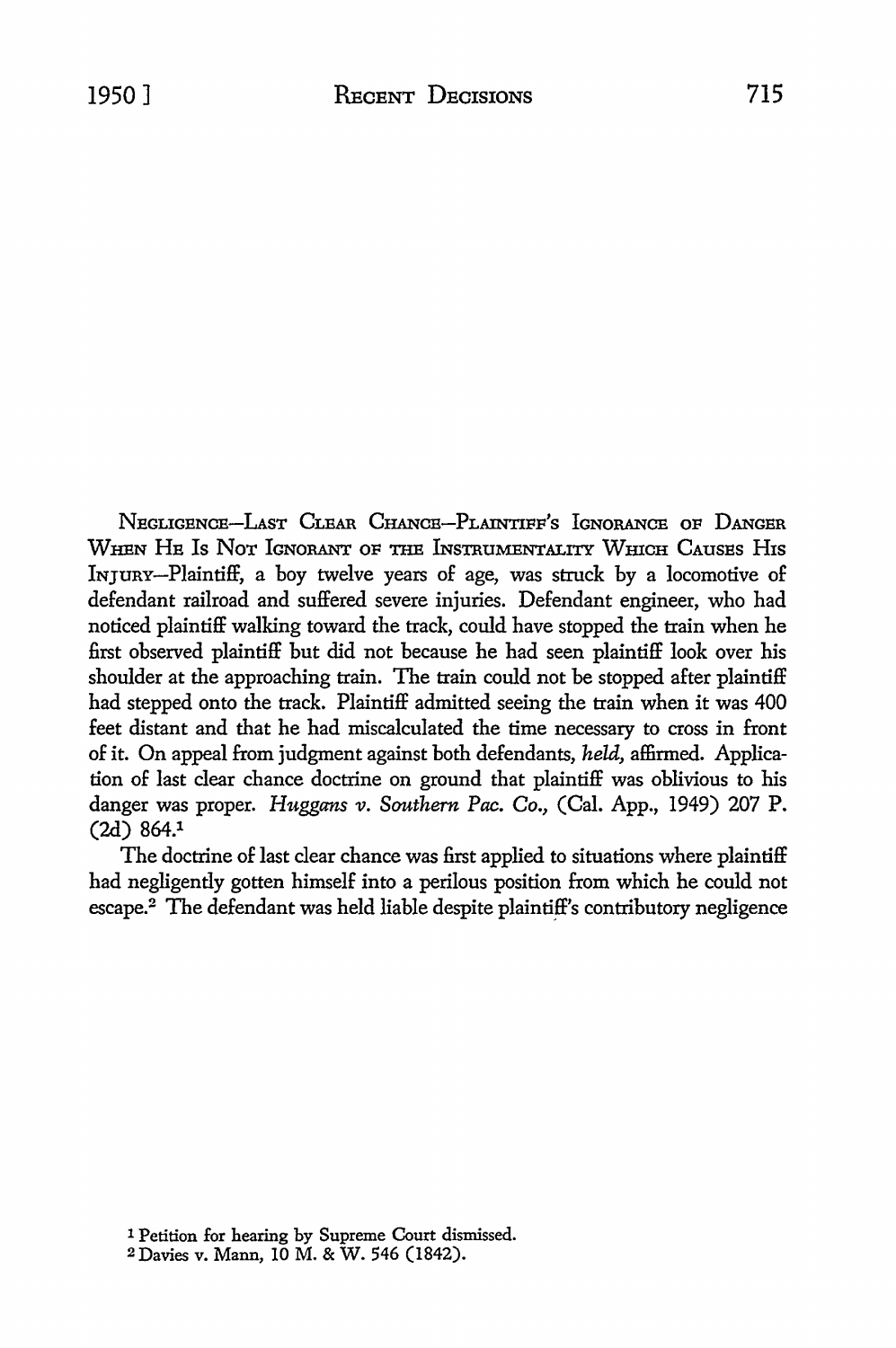NEGLIGENCE-UST CLEAR CHANCE-PLAINTIFF'S IGNORANCE OF DANGER WHEN HE IS NOT IGNORANT OF THE INSTRUMENTALITY WHICH CAUSES HIS INJURY-Plaintiff, a boy twelve years of age, was struck by a locomotive of defendant railroad and suffered severe injuries. Defendant engineer, who had noticed plaintiff walking toward the track, could have stopped the train when he first observed plaintiff but did not because he had seen plaintiff look over his shoulder at the approaching train. The train could not be stopped after plaintiff had stepped onto the track. Plaintiff admitted seeing the train when it was 400 feet distant and that he had miscalculated the time necessary to cross in front of it. On appeal from judgment against both defendants, *held,* affirmed. Application of last clear chance doctrine on ground that plaintiff was oblivious to his danger was proper. *Huggans v. Southern Pac. Co.,* (Cal. App., 1949) 207 P. (2d) 864.1

The doctrine of last clear chance was first applied to situations where plaintiff had negligently gotten himself into a perilous position from which he could not  $e^2$  The defendant was held liable despite plaintiff's contributory negligence

2 Davies v. Mann, 10 M. & W. 546 (1842).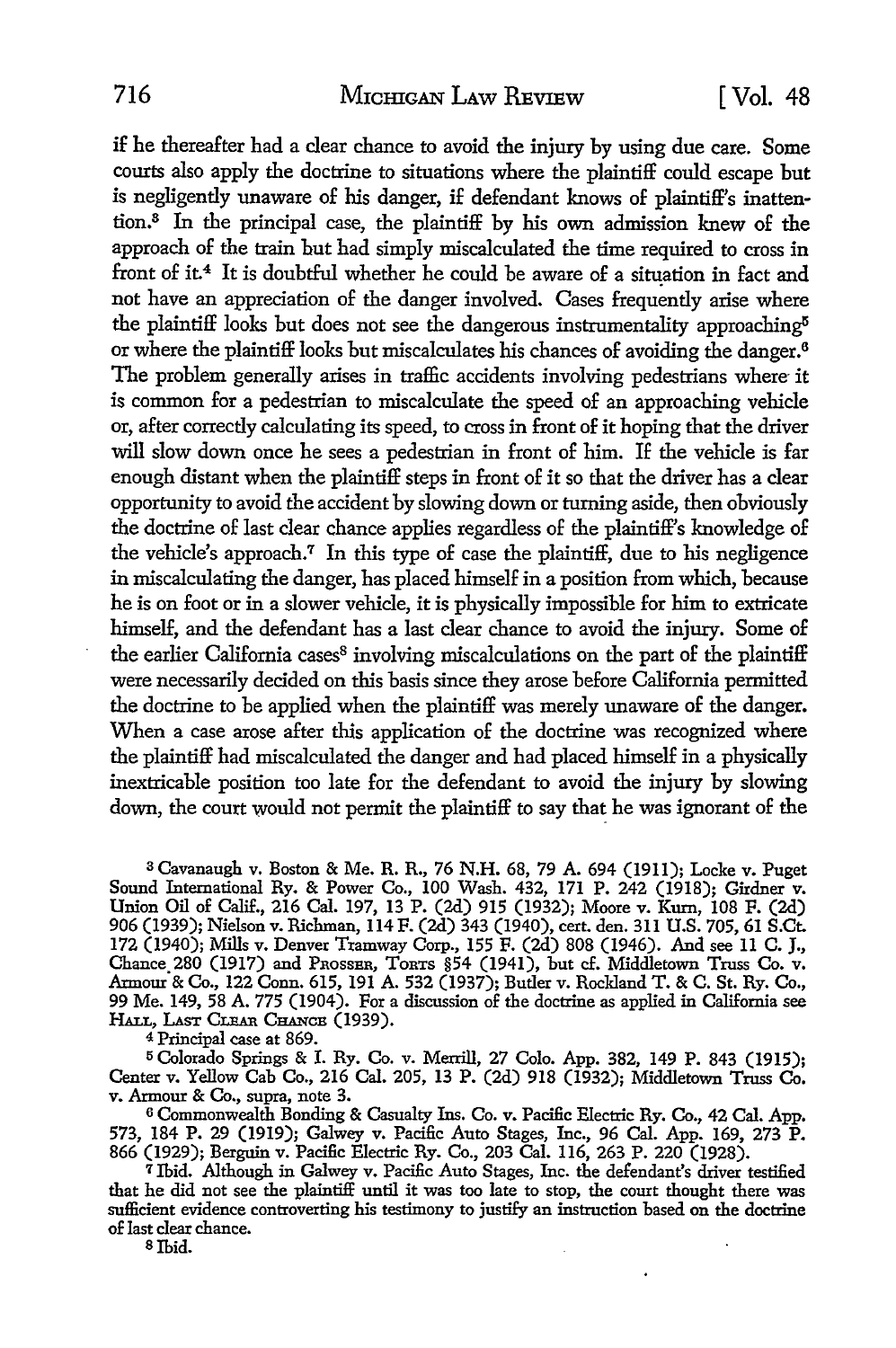## 716 MICHIGAN LAW REVIEW [ Vol. 48

if he thereafter had a clear chance *to* avoid the injury by using due care. Some courts also apply the doctrine *to* situations where the plaintiff could escape but is negligently unaware of his danger, if defendant knows of plaintiff's inattention.<sup>8</sup> In the principal case, the plaintiff by his own admission knew of the approach of the train but had simply miscalculated the time required to cross in front of it.<sup>4</sup> It is doubtful whether he could be aware of a situation in fact and not have an appreciation of the danger involved. Cases frequently arise where the plaintiff looks but does not see the dangerous instrumentality approaching5 or where the plaintiff looks but miscalculates his chances of avoiding the danger.<sup>6</sup> The problem generally arises in traffic accidents involving pedestrians where it is common for a pedestrian to miscalculate the speed of an approaching vehicle or, after correctly calculating its speed, to cross in front of it hoping that the driver will slow down once he sees a pedestrian in front of him. If the vehicle is far enough distant when the plaintiff steps in front of it so that the driver has a clear opportunity *to* avoid the accident by slowing down or turning aside, then obviously the doctrine of last clear chance applies regardless of the plaintiff's knowledge of the vehicle's approach.<sup>7</sup>In this type of case the plaintiff, due *to* his negligence in miscalculating the danger, has placed himself in a position from which, because he is on foot or in a slower vehicle, it is physically impossible for him *to* extricate himself, and the defendant has a last clear chance *to* avoid the injury. Some of the earlier California cases<sup>8</sup> involving miscalculations on the part of the plaintiff were necessarily decided on this basis since they arose before California permitted the doctrine to be applied when the plaintiff was merely unaware of the danger. When a case arose after this application of the doctrine was recognized where the plaintiff had miscalculated the danger and had placed himself in a physically inextricable position too late for the defendant *to* avoid the injury by slowing down, the court would not permit the plaintiff to say that he was ignorant of the

s Cavanaugh v. Boston & Me. R. R., 76 N.H. 68, 79 A. 694 (1911); Locke v. Puget Sound International Ry. & Power Co., 100 Wash. 432, 171 P. 242 (1918); Girdner v. Union Oil of Calif., 216 Cal. 197, 13 P. (2d) 915 (1932); Moore v. Kum, 108 F. (2d) 906 (1939); Nielson v. Richman, 114 F. (2d) 343 (1940), cert. den. 311 U.S. 705, 61 S.Ct. 172 (1940); Mills v. Denver Tramway Corp., 155 F. (2d) 808 (1946). And see 11 C. J., Chance 280 (1917) and PROSSER, ToRTS §54 (1941), but cf. Middletown Truss Co. v. Armour·& Co., 122 Conn. 615, 191 A. 532 (1937); Butler v. Rockland T. & C. St. Ry. Co., 99 Me. 149, 58 A. 775 (1904). For a discussion of the doctrine as applied in California see HALL, LAST CLEAR CHANCE (1939).

4 Principal case at 869.

<sup>5</sup>Colorado Springs & I. Ry. Co. v. Merrill, 27 Colo. App. 382, 149 P. 843 (1915); Center v. Yellow Cab Co., 216 Cal. 205, 13 P. (2d) 918 (1932); Middletown Truss Co. v. Armour & Co., supra, note 3.

<sup>6</sup>Commonwealth Bonding & Casualty Ins. Co. v. Pacific Electric Ry. Co., 42 Cal. App. 573, 184 P. 29 (1919); Galwey v. Pacific Auto Stages, Inc., 96 Cal. App. 169, 273 P. 866 (1929); Berguin v. Pacific Electric Ry. Co., 203 Cal. 116, 263 P. 220 (1928).

<sup>7</sup>Jbid. Although in Galwey v. Pacific Auto Stages, Inc. the defendant's driver testified that he did not see the plaintiff until it was too late to stop, the court thought there was sufficient evidence controverting his testimony to justify an instruction based on the doctrine of last clear chance.

S Jbid.